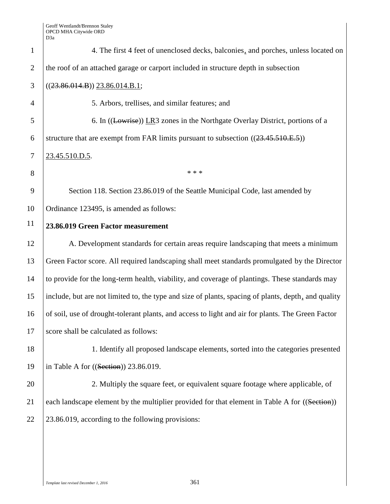| $\mathbf{1}$   | 4. The first 4 feet of unenclosed decks, balconies, and porches, unless located on                  |
|----------------|-----------------------------------------------------------------------------------------------------|
| 2              | the roof of an attached garage or carport included in structure depth in subsection                 |
| 3              | $((23.86.014.B))$ 23.86.014.B.1;                                                                    |
| $\overline{4}$ | 5. Arbors, trellises, and similar features; and                                                     |
| 5              | 6. In ((Lowrise)) LR3 zones in the Northgate Overlay District, portions of a                        |
| 6              | structure that are exempt from FAR limits pursuant to subsection $((23.45.510.E.5))$                |
| $\tau$         | 23.45.510.D.5.                                                                                      |
| 8              | * * *                                                                                               |
| 9              | Section 118. Section 23.86.019 of the Seattle Municipal Code, last amended by                       |
| 10             | Ordinance 123495, is amended as follows:                                                            |
| 11             | 23.86.019 Green Factor measurement                                                                  |
| 12             | A. Development standards for certain areas require landscaping that meets a minimum                 |
| 13             | Green Factor score. All required landscaping shall meet standards promulgated by the Director       |
| 14             | to provide for the long-term health, viability, and coverage of plantings. These standards may      |
| 15             | include, but are not limited to, the type and size of plants, spacing of plants, depth, and quality |
| 16             | of soil, use of drought-tolerant plants, and access to light and air for plants. The Green Factor   |
| 17             | score shall be calculated as follows:                                                               |
| 18             | 1. Identify all proposed landscape elements, sorted into the categories presented                   |
| 19             | in Table A for $((Section))$ 23.86.019.                                                             |
| 20             | 2. Multiply the square feet, or equivalent square footage where applicable, of                      |
| 21             | each landscape element by the multiplier provided for that element in Table A for ((Section))       |
| 22             | 23.86.019, according to the following provisions:                                                   |
|                |                                                                                                     |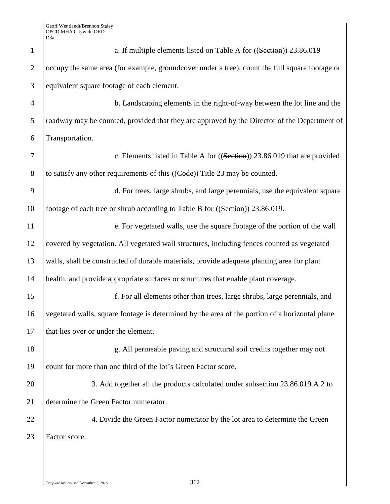| $\mathbf{1}$   | a. If multiple elements listed on Table A for ((Section)) 23.86.019                            |  |
|----------------|------------------------------------------------------------------------------------------------|--|
| $\overline{2}$ | occupy the same area (for example, groundcover under a tree), count the full square footage or |  |
| 3              | equivalent square footage of each element.                                                     |  |
| $\overline{4}$ | b. Landscaping elements in the right-of-way between the lot line and the                       |  |
| 5              | roadway may be counted, provided that they are approved by the Director of the Department of   |  |
| 6              | Transportation.                                                                                |  |
| 7              | c. Elements listed in Table A for ((Section)) 23.86.019 that are provided                      |  |
| 8              | to satisfy any other requirements of this $((\text{Code}))$ Title 23 may be counted.           |  |
| 9              | d. For trees, large shrubs, and large perennials, use the equivalent square                    |  |
| 10             | footage of each tree or shrub according to Table B for ((Section)) 23.86.019.                  |  |
| 11             | e. For vegetated walls, use the square footage of the portion of the wall                      |  |
| 12             | covered by vegetation. All vegetated wall structures, including fences counted as vegetated    |  |
| 13             | walls, shall be constructed of durable materials, provide adequate planting area for plant     |  |
| 14             | health, and provide appropriate surfaces or structures that enable plant coverage.             |  |
| 15             | f. For all elements other than trees, large shrubs, large perennials, and                      |  |
| 16             | vegetated walls, square footage is determined by the area of the portion of a horizontal plane |  |
| 17             | that lies over or under the element.                                                           |  |
| 18             | g. All permeable paving and structural soil credits together may not                           |  |
| 19             | count for more than one third of the lot's Green Factor score.                                 |  |
| 20             | 3. Add together all the products calculated under subsection 23.86.019.A.2 to                  |  |
| 21             | determine the Green Factor numerator.                                                          |  |
| 22             | 4. Divide the Green Factor numerator by the lot area to determine the Green                    |  |
| 23             | Factor score.                                                                                  |  |
|                |                                                                                                |  |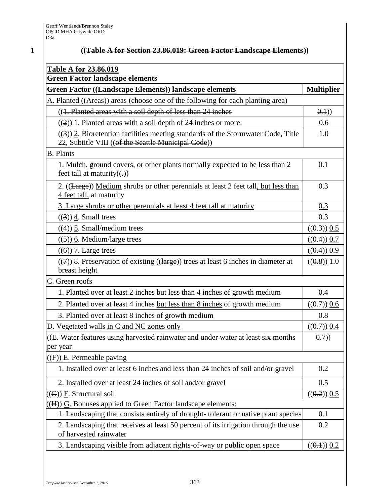| <b>Green Factor landscape elements</b>                                                                                                  |                   |
|-----------------------------------------------------------------------------------------------------------------------------------------|-------------------|
| Green Factor ((Landscape Elements)) landscape elements                                                                                  | <b>Multiplier</b> |
| A. Planted ((Areas)) areas (choose one of the following for each planting area)                                                         |                   |
| ((1. Planted areas with a soil depth of less than 24 inches                                                                             | ( <b>0.1</b> )    |
| $((2))$ 1. Planted areas with a soil depth of 24 inches or more:                                                                        | 0.6               |
| ((3)) 2. Bioretention facilities meeting standards of the Stormwater Code, Title<br>22, Subtitle VIII ((of the Seattle Municipal Code)) | 1.0               |
| <b>B.</b> Plants                                                                                                                        |                   |
| 1. Mulch, ground covers, or other plants normally expected to be less than 2<br>feet tall at maturity $((.)$                            | 0.1               |
| 2. ((Large)) Medium shrubs or other perennials at least 2 feet tall, but less than<br>4 feet tall, at maturity                          | 0.3               |
| 3. Large shrubs or other perennials at least 4 feet tall at maturity                                                                    | 0.3               |
| $((3))$ 4. Small trees                                                                                                                  | 0.3               |
| $((4))$ 5. Small/medium trees                                                                                                           | $((0.3))$ 0.5     |
| $((5))$ 6. Medium/large trees                                                                                                           | $((0.4))$ 0.7     |
| $((6))$ 7. Large trees                                                                                                                  | $((0.4))$ 0.9     |
| $((7))$ 8. Preservation of existing $((\text{large}))$ trees at least 6 inches in diameter at<br>breast height                          | ((0.8)) 1.0       |
| C. Green roofs                                                                                                                          |                   |
| 1. Planted over at least 2 inches but less than 4 inches of growth medium                                                               | 0.4               |
| 2. Planted over at least 4 inches but less than 8 inches of growth medium                                                               | $((0.7))$ 0.6     |
| 3. Planted over at least 8 inches of growth medium                                                                                      | 0.8               |
| D. Vegetated walls in C and NC zones only                                                                                               | $((0.7))$ 0.4     |
| $\left  \right $ (E. Water features using harvested rainwater and under water at least six months<br>per year                           | 0.7)              |
| $((F))$ E. Permeable paving                                                                                                             |                   |
| 1. Installed over at least 6 inches and less than 24 inches of soil and/or gravel                                                       | 0.2               |
| 2. Installed over at least 24 inches of soil and/or gravel                                                                              | 0.5               |
| $((G))$ F. Structural soil                                                                                                              | $((0.2))$ 0.5     |
| $((H))$ $\underline{G}$ . Bonuses applied to Green Factor landscape elements:                                                           |                   |
| 1. Landscaping that consists entirely of drought-tolerant or native plant species                                                       | 0.1               |
| 2. Landscaping that receives at least 50 percent of its irrigation through the use<br>of harvested rainwater                            | 0.2               |
| 3. Landscaping visible from adjacent rights-of-way or public open space                                                                 | $((0.1))$ 0.2     |

1 **((Table A for Section 23.86.019: Green Factor Landscape Elements))**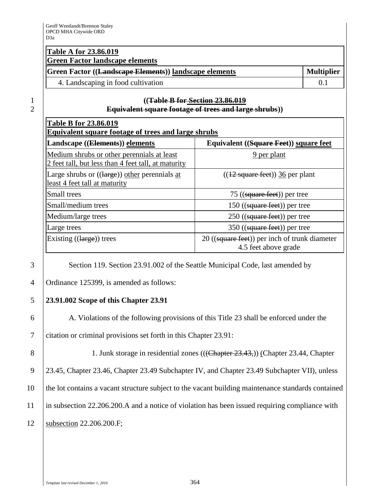## **Table A for 23.86.019 Green Factor landscape elements**

| Green Factor ((Landscape Elements)) landscape elements | <b>Multiplier</b> |
|--------------------------------------------------------|-------------------|
| 4. Landscaping in food cultivation                     |                   |

## 1 **((Table B for Section 23.86.019** 2 **Equivalent square footage of trees and large shrubs))**

| <b>Table B for 23.86.019</b><br>Equivalent square footage of trees and large shrubs               |                                                                       |  |  |
|---------------------------------------------------------------------------------------------------|-----------------------------------------------------------------------|--|--|
| Landscape ((Elements)) elements                                                                   | Equivalent ((Square Feet)) square feet                                |  |  |
| Medium shrubs or other perennials at least<br>2 feet tall, but less than 4 feet tall, at maturity | 9 per plant                                                           |  |  |
| Large shrubs or $((large))$ other perennials at<br>least 4 feet tall at maturity                  | $((12 \text{ square feet}))$ 36 per plant                             |  |  |
| Small trees                                                                                       | 75 ( $(gquare$ feet)) per tree                                        |  |  |
| Small/medium trees                                                                                | $150$ ((square feet)) per tree                                        |  |  |
| Medium/large trees                                                                                | $250$ ((square feet)) per tree                                        |  |  |
| Large trees                                                                                       | $350$ ((square feet)) per tree                                        |  |  |
| Existing $((large))$ trees                                                                        | 20 ((square feet)) per inch of trunk diameter<br>4.5 feet above grade |  |  |

3 Section 119. Section 23.91.002 of the Seattle Municipal Code, last amended by

4 Ordinance 125399, is amended as follows:

# 5 **23.91.002 Scope of this Chapter 23.91**

6 A. Violations of the following provisions of this Title 23 shall be enforced under the

7 citation or criminal provisions set forth in this Chapter 23.91:

8 1. Junk storage in residential zones (((Chapter 23.43,)) (Chapter 23.44, Chapter 23.45, Chapter 23.46, Chapter 23.49 Subchapter IV, and Chapter 23.49 Subchapter VII), unless the lot contains a vacant structure subject to the vacant building maintenance standards contained in subsection 22.206.200.A and a notice of violation has been issued requiring compliance with subsection 22.206.200.F;

*Template last revised December 1, 2016* 364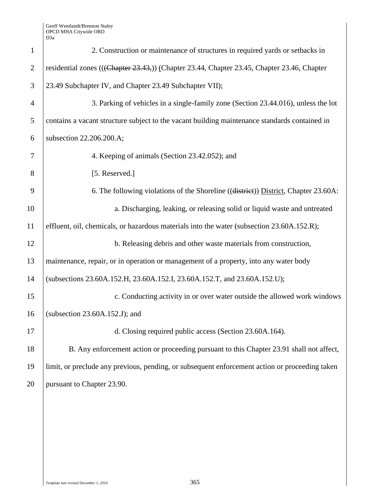Geoff Wentlandt/Brennon Staley OPCD MHA Citywide ORD D3a

| $\mathbf{1}$   | 2. Construction or maintenance of structures in required yards or setbacks in                  |  |
|----------------|------------------------------------------------------------------------------------------------|--|
| $\overline{2}$ | residential zones (((Chapter 23.43,)) (Chapter 23.44, Chapter 23.45, Chapter 23.46, Chapter    |  |
| 3              | 23.49 Subchapter IV, and Chapter 23.49 Subchapter VII);                                        |  |
| $\overline{4}$ | 3. Parking of vehicles in a single-family zone (Section 23.44.016), unless the lot             |  |
| 5              | contains a vacant structure subject to the vacant building maintenance standards contained in  |  |
| 6              | subsection 22.206.200.A;                                                                       |  |
| 7              | 4. Keeping of animals (Section 23.42.052); and                                                 |  |
| 8              | [5. Reserved.]                                                                                 |  |
| 9              | 6. The following violations of the Shoreline ((district)) District, Chapter 23.60A:            |  |
| 10             | a. Discharging, leaking, or releasing solid or liquid waste and untreated                      |  |
| 11             | effluent, oil, chemicals, or hazardous materials into the water (subsection 23.60A.152.R);     |  |
| 12             | b. Releasing debris and other waste materials from construction,                               |  |
| 13             | maintenance, repair, or in operation or management of a property, into any water body          |  |
| 14             | (subsections 23.60A.152.H, 23.60A.152.I, 23.60A.152.T, and 23.60A.152.U);                      |  |
| 15             | c. Conducting activity in or over water outside the allowed work windows                       |  |
| 16             | (subsection $23.60A.152.J$ ); and                                                              |  |
| 17             | d. Closing required public access (Section 23.60A.164).                                        |  |
| 18             | B. Any enforcement action or proceeding pursuant to this Chapter 23.91 shall not affect,       |  |
| 19             | limit, or preclude any previous, pending, or subsequent enforcement action or proceeding taken |  |
| 20             | pursuant to Chapter 23.90.                                                                     |  |
|                |                                                                                                |  |
|                |                                                                                                |  |
|                |                                                                                                |  |
|                |                                                                                                |  |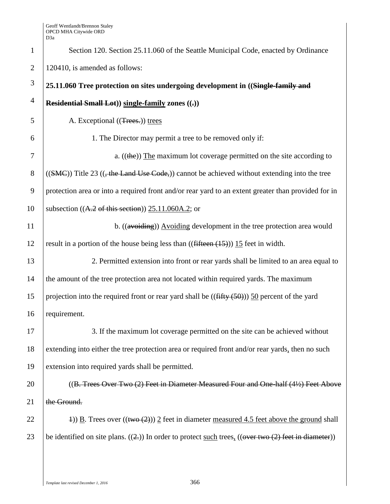| $\mathbf{1}$   | Section 120. Section 25.11.060 of the Seattle Municipal Code, enacted by Ordinance                       |
|----------------|----------------------------------------------------------------------------------------------------------|
| $\overline{2}$ | 120410, is amended as follows:                                                                           |
| $\mathfrak{Z}$ | 25.11.060 Tree protection on sites undergoing development in ((Single-family and                         |
| $\overline{4}$ | Residential Small Lot)) single-family zones ((,))                                                        |
| 5              | A. Exceptional ((Trees.)) trees                                                                          |
| 6              | 1. The Director may permit a tree to be removed only if:                                                 |
| 7              | a. $((the))$ The maximum lot coverage permitted on the site according to                                 |
| $8\,$          | $((SMC))$ Title 23 $((, the Land Use Code))$ cannot be achieved without extending into the tree          |
| 9              | protection area or into a required front and/or rear yard to an extent greater than provided for in      |
| 10             | subsection $((A.2 \text{ of this section}))$ 25.11.060A.2; or                                            |
| 11             | b. $((\text{avoiding})\)$ Avoiding development in the tree protection area would                         |
| 12             | result in a portion of the house being less than $((\text{fifteen } (15)))$ 15 feet in width.            |
| 13             | 2. Permitted extension into front or rear yards shall be limited to an area equal to                     |
| 14             | the amount of the tree protection area not located within required yards. The maximum                    |
| 15             | projection into the required front or rear yard shall be $((\text{fiffy}(50)))$ 50 percent of the yard   |
| 16             | requirement.                                                                                             |
| 17             | 3. If the maximum lot coverage permitted on the site can be achieved without                             |
| 18             | extending into either the tree protection area or required front and/or rear yards, then no such         |
| 19             | extension into required yards shall be permitted.                                                        |
| 20             | ((B. Trees Over Two (2) Feet in Diameter Measured Four and One-half (4½) Feet Above                      |
| 21             | the Ground.                                                                                              |
| 22             | 4) B. Trees over $((\text{two} (2)))$ 2 feet in diameter <u>measured 4.5 feet above the ground</u> shall |
| 23             | be identified on site plans. $((2))$ In order to protect such trees, $((over two (2) feet in diameter))$ |
|                |                                                                                                          |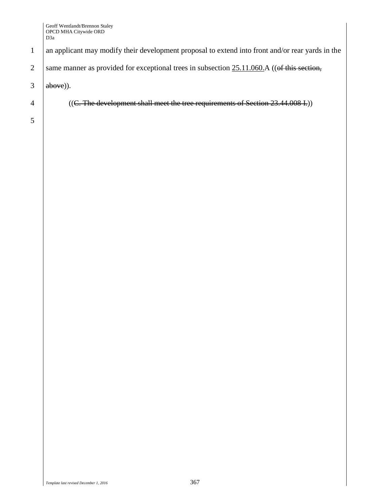#### Geoff Wentlandt/Brennon Staley OPCD MHA Citywide ORD D3a

1 an applicant may modify their development proposal to extend into front and/or rear yards in the

2 same manner as provided for exceptional trees in subsection  $25.11.060$ . A ((of this section,

 $3$  above)).

4 ((C. The development shall meet the tree requirements of Section 23.44.008 I.))